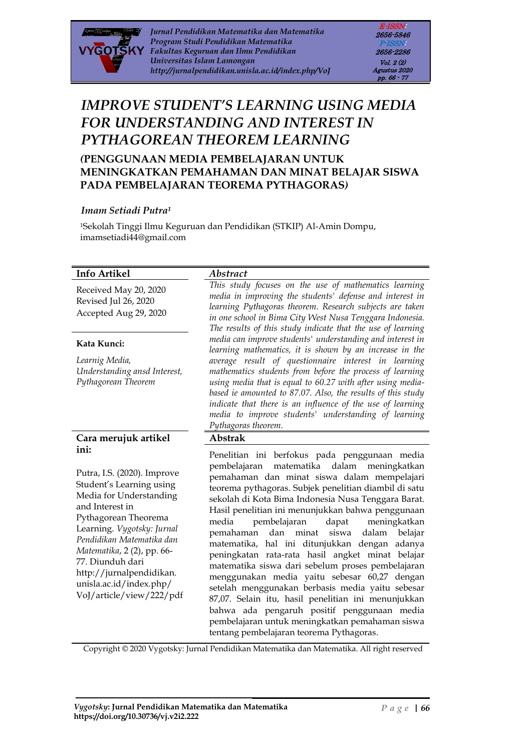

*Jurnal Pendidikan Matematika dan Matematika Program Studi Pendidikan Matematika Fakultas Keguruan dan Ilmu Pendidikan Universitas Islam Lamongan http://jurnalpendidikan.unisla.ac.id/index.php/VoJ*

E-ISSN: 2656-5846 P-ISSN: 2656-2286 Vol. 2 (2) Agustus 2020 pp. 66 - 77

# *IMPROVE STUDENT'S LEARNING USING MEDIA FOR UNDERSTANDING AND INTEREST IN PYTHAGOREAN THEOREM LEARNING*

*(***PENGGUNAAN MEDIA PEMBELAJARAN UNTUK MENINGKATKAN PEMAHAMAN DAN MINAT BELAJAR SISWA PADA PEMBELAJARAN TEOREMA PYTHAGORAS***)*

#### *Imam Setiadi Putra<sup>1</sup>*

<sup>1</sup>Sekolah Tinggi Ilmu Keguruan dan Pendidikan (STKIP) Al-Amin Dompu, imamsetiadi44@gmail.com

#### **Info Artikel** *Abstract*

Revised Jul 26, 2020 Accepted Aug 29, 2020

#### **Kata Kunci:**

*Learnig Media, Understanding ansd Interest, Pythagorean Theorem*

#### **Cara merujuk artikel ini:**

Putra, I.S. (2020). Improve Student's Learning using Media for Understanding and Interest in Pythagorean Theorema Learning. *Vygotsky: Jurnal Pendidikan Matematika dan Matematika*, 2 (2), pp. 66- 77. Diunduh dari http://jurnalpendidikan. unisla.ac.id/index.php/ VoJ/article/view/222/pdf

Received May 20, 2020 *This study focuses on the use of mathematics learning media in improving the students' defense and interest in learning Pythagoras theorem. Research subjects are taken in one school in Bima City West Nusa Tenggara Indonesia. The results of this study indicate that the use of learning media can improve students' understanding and interest in learning mathematics, it is shown by an increase in the average result of questionnaire interest in learning mathematics students from before the process of learning using media that is equal to 60.27 with after using mediabased ie amounted to 87.07. Also, the results of this study indicate that there is an influence of the use of learning media to improve students' understanding of learning Pythagoras theorem.*

#### **Abstrak**

Penelitian ini berfokus pada penggunaan media pembelajaran matematika dalam meningkatkan pemahaman dan minat siswa dalam mempelajari teorema pythagoras. Subjek penelitian diambil di satu sekolah di Kota Bima Indonesia Nusa Tenggara Barat. Hasil penelitian ini menunjukkan bahwa penggunaan media pembelajaran dapat meningkatkan pemahaman dan minat siswa dalam belajar matematika, hal ini ditunjukkan dengan adanya peningkatan rata-rata hasil angket minat belajar matematika siswa dari sebelum proses pembelajaran menggunakan media yaitu sebesar 60,27 dengan setelah menggunakan berbasis media yaitu sebesar 87,07. Selain itu, hasil penelitian ini menunjukkan bahwa ada pengaruh positif penggunaan media pembelajaran untuk meningkatkan pemahaman siswa tentang pembelajaran teorema Pythagoras.

Copyright © 2020 Vygotsky: Jurnal Pendidikan Matematika dan Matematika. All right reserved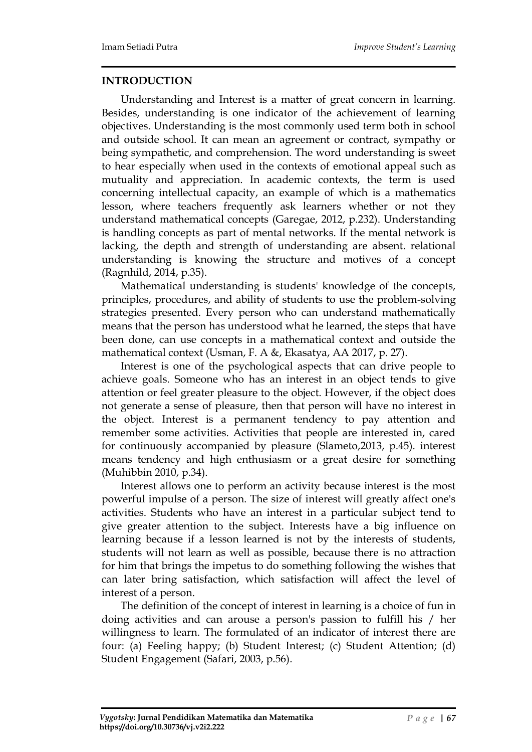#### **INTRODUCTION**

Understanding and Interest is a matter of great concern in learning. Besides, understanding is one indicator of the achievement of learning objectives. Understanding is the most commonly used term both in school and outside school. It can mean an agreement or contract, sympathy or being sympathetic, and comprehension. The word understanding is sweet to hear especially when used in the contexts of emotional appeal such as mutuality and appreciation. In academic contexts, the term is used concerning intellectual capacity, an example of which is a mathematics lesson, where teachers frequently ask learners whether or not they understand mathematical concepts (Garegae, 2012, p.232). Understanding is handling concepts as part of mental networks. If the mental network is lacking, the depth and strength of understanding are absent. relational understanding is knowing the structure and motives of a concept (Ragnhild, 2014, p.35).

Mathematical understanding is students' knowledge of the concepts, principles, procedures, and ability of students to use the problem-solving strategies presented. Every person who can understand mathematically means that the person has understood what he learned, the steps that have been done, can use concepts in a mathematical context and outside the mathematical context (Usman, F. A &, Ekasatya, AA 2017, p. 27).

Interest is one of the psychological aspects that can drive people to achieve goals. Someone who has an interest in an object tends to give attention or feel greater pleasure to the object. However, if the object does not generate a sense of pleasure, then that person will have no interest in the object. Interest is a permanent tendency to pay attention and remember some activities. Activities that people are interested in, cared for continuously accompanied by pleasure (Slameto,2013, p.45). interest means tendency and high enthusiasm or a great desire for something (Muhibbin 2010, p.34).

Interest allows one to perform an activity because interest is the most powerful impulse of a person. The size of interest will greatly affect one's activities. Students who have an interest in a particular subject tend to give greater attention to the subject. Interests have a big influence on learning because if a lesson learned is not by the interests of students, students will not learn as well as possible, because there is no attraction for him that brings the impetus to do something following the wishes that can later bring satisfaction, which satisfaction will affect the level of interest of a person.

The definition of the concept of interest in learning is a choice of fun in doing activities and can arouse a person's passion to fulfill his / her willingness to learn. The formulated of an indicator of interest there are four: (a) Feeling happy; (b) Student Interest; (c) Student Attention; (d) Student Engagement (Safari, 2003, p.56).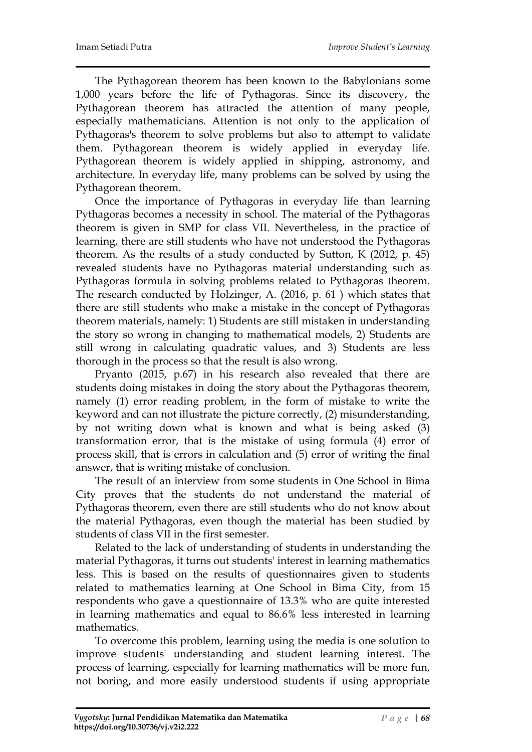The Pythagorean theorem has been known to the Babylonians some 1,000 years before the life of Pythagoras. Since its discovery, the Pythagorean theorem has attracted the attention of many people, especially mathematicians. Attention is not only to the application of Pythagoras's theorem to solve problems but also to attempt to validate them. Pythagorean theorem is widely applied in everyday life. Pythagorean theorem is widely applied in shipping, astronomy, and architecture. In everyday life, many problems can be solved by using the Pythagorean theorem.

Once the importance of Pythagoras in everyday life than learning Pythagoras becomes a necessity in school. The material of the Pythagoras theorem is given in SMP for class VII. Nevertheless, in the practice of learning, there are still students who have not understood the Pythagoras theorem. As the results of a study conducted by Sutton, K (2012, p. 45) revealed students have no Pythagoras material understanding such as Pythagoras formula in solving problems related to Pythagoras theorem. The research conducted by Holzinger, A. (2016, p. 61 ) which states that there are still students who make a mistake in the concept of Pythagoras theorem materials, namely: 1) Students are still mistaken in understanding the story so wrong in changing to mathematical models, 2) Students are still wrong in calculating quadratic values, and 3) Students are less thorough in the process so that the result is also wrong.

Pryanto (2015, p.67) in his research also revealed that there are students doing mistakes in doing the story about the Pythagoras theorem, namely (1) error reading problem, in the form of mistake to write the keyword and can not illustrate the picture correctly, (2) misunderstanding, by not writing down what is known and what is being asked (3) transformation error, that is the mistake of using formula (4) error of process skill, that is errors in calculation and (5) error of writing the final answer, that is writing mistake of conclusion.

The result of an interview from some students in One School in Bima City proves that the students do not understand the material of Pythagoras theorem, even there are still students who do not know about the material Pythagoras, even though the material has been studied by students of class VII in the first semester.

Related to the lack of understanding of students in understanding the material Pythagoras, it turns out students' interest in learning mathematics less. This is based on the results of questionnaires given to students related to mathematics learning at One School in Bima City, from 15 respondents who gave a questionnaire of 13.3% who are quite interested in learning mathematics and equal to 86.6% less interested in learning mathematics.

To overcome this problem, learning using the media is one solution to improve students' understanding and student learning interest. The process of learning, especially for learning mathematics will be more fun, not boring, and more easily understood students if using appropriate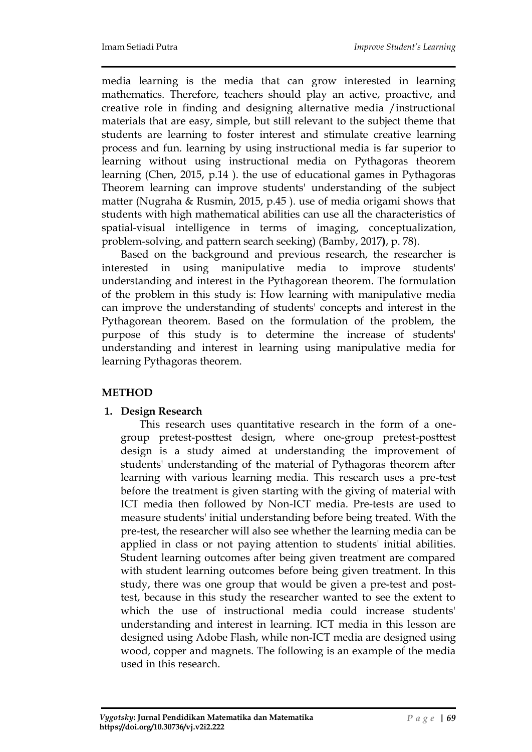media learning is the media that can grow interested in learning mathematics. Therefore, teachers should play an active, proactive, and creative role in finding and designing alternative media /instructional materials that are easy, simple, but still relevant to the subject theme that students are learning to foster interest and stimulate creative learning process and fun. learning by using instructional media is far superior to learning without using instructional media on Pythagoras theorem learning (Chen, 2015, p.14 ). the use of educational games in Pythagoras Theorem learning can improve students' understanding of the subject matter (Nugraha & Rusmin, 2015, p.45 ). use of media origami shows that students with high mathematical abilities can use all the characteristics of spatial-visual intelligence in terms of imaging, conceptualization, problem-solving, and pattern search seeking) (Bamby, 2017**)**, p. 78).

Based on the background and previous research, the researcher is interested in using manipulative media to improve students' understanding and interest in the Pythagorean theorem. The formulation of the problem in this study is: How learning with manipulative media can improve the understanding of students' concepts and interest in the Pythagorean theorem. Based on the formulation of the problem, the purpose of this study is to determine the increase of students' understanding and interest in learning using manipulative media for learning Pythagoras theorem.

## **METHOD**

## **1. Design Research**

This research uses quantitative research in the form of a onegroup pretest-posttest design, where one-group pretest-posttest design is a study aimed at understanding the improvement of students' understanding of the material of Pythagoras theorem after learning with various learning media. This research uses a pre-test before the treatment is given starting with the giving of material with ICT media then followed by Non-ICT media. Pre-tests are used to measure students' initial understanding before being treated. With the pre-test, the researcher will also see whether the learning media can be applied in class or not paying attention to students' initial abilities. Student learning outcomes after being given treatment are compared with student learning outcomes before being given treatment. In this study, there was one group that would be given a pre-test and posttest, because in this study the researcher wanted to see the extent to which the use of instructional media could increase students' understanding and interest in learning. ICT media in this lesson are designed using Adobe Flash, while non-ICT media are designed using wood, copper and magnets. The following is an example of the media used in this research.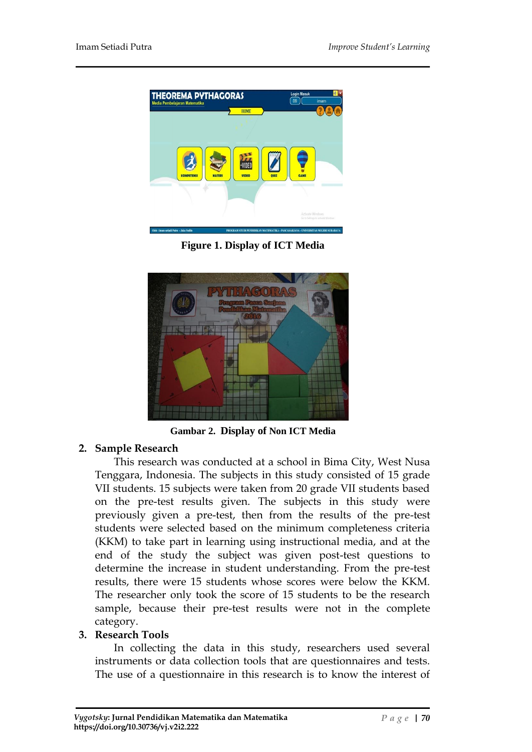

**Figure 1. Display of ICT Media**



**Gambar 2. Display of Non ICT Media**

## **2. Sample Research**

This research was conducted at a school in Bima City, West Nusa Tenggara, Indonesia. The subjects in this study consisted of 15 grade VII students. 15 subjects were taken from 20 grade VII students based on the pre-test results given. The subjects in this study were previously given a pre-test, then from the results of the pre-test students were selected based on the minimum completeness criteria (KKM) to take part in learning using instructional media, and at the end of the study the subject was given post-test questions to determine the increase in student understanding. From the pre-test results, there were 15 students whose scores were below the KKM. The researcher only took the score of 15 students to be the research sample, because their pre-test results were not in the complete category.

## **3. Research Tools**

In collecting the data in this study, researchers used several instruments or data collection tools that are questionnaires and tests. The use of a questionnaire in this research is to know the interest of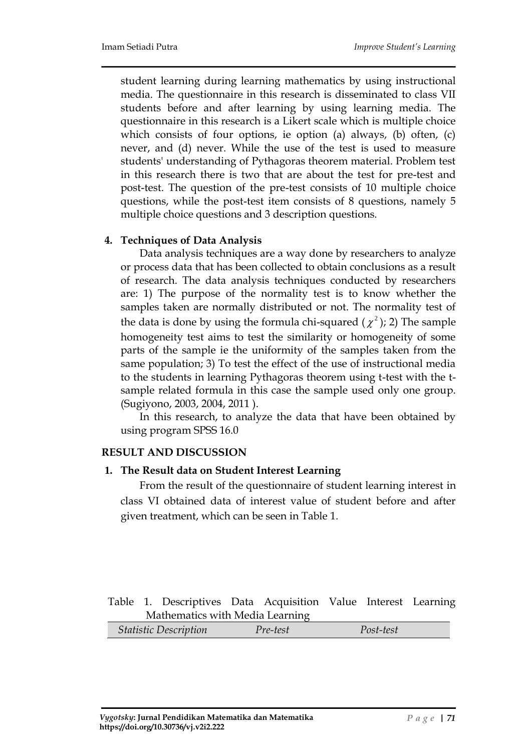student learning during learning mathematics by using instructional media. The questionnaire in this research is disseminated to class VII students before and after learning by using learning media. The questionnaire in this research is a Likert scale which is multiple choice which consists of four options, ie option (a) always, (b) often, (c) never, and (d) never. While the use of the test is used to measure students' understanding of Pythagoras theorem material. Problem test in this research there is two that are about the test for pre-test and post-test. The question of the pre-test consists of 10 multiple choice questions, while the post-test item consists of 8 questions, namely 5 multiple choice questions and 3 description questions.

#### **4. Techniques of Data Analysis**

Data analysis techniques are a way done by researchers to analyze or process data that has been collected to obtain conclusions as a result of research. The data analysis techniques conducted by researchers are: 1) The purpose of the normality test is to know whether the samples taken are normally distributed or not. The normality test of the data is done by using the formula chi-squared  $(\chi^2)$ ; 2) The sample homogeneity test aims to test the similarity or homogeneity of some parts of the sample ie the uniformity of the samples taken from the same population; 3) To test the effect of the use of instructional media to the students in learning Pythagoras theorem using t-test with the tsample related formula in this case the sample used only one group. (Sugiyono, 2003, 2004, 2011 ).

In this research, to analyze the data that have been obtained by using program SPSS 16.0

## **RESULT AND DISCUSSION**

#### **1. The Result data on Student Interest Learning**

From the result of the questionnaire of student learning interest in class VI obtained data of interest value of student before and after given treatment, which can be seen in Table 1.

#### Table 1. Descriptives Data Acquisition Value Interest Learning Mathematics with Media Learning

|  | Statistic Description | Pre-test | Post-test |
|--|-----------------------|----------|-----------|
|--|-----------------------|----------|-----------|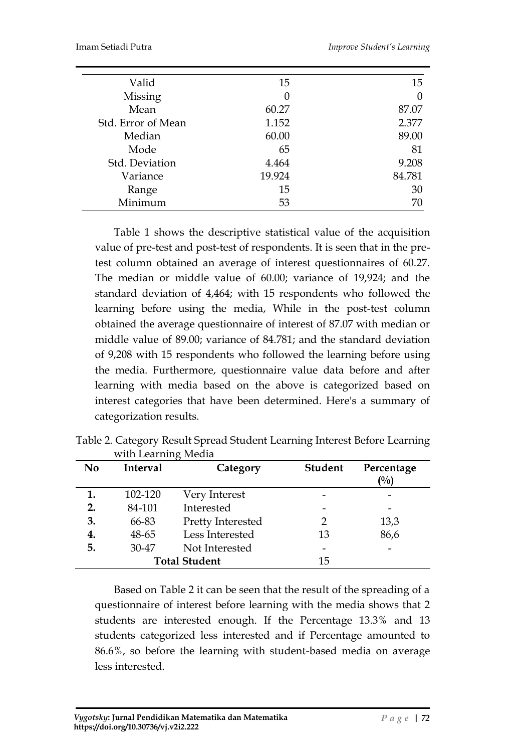| Valid              | 15     | 15               |
|--------------------|--------|------------------|
| Missing            | 0      | $\left( \right)$ |
| Mean               | 60.27  | 87.07            |
| Std. Error of Mean | 1.152  | 2.377            |
| Median             | 60.00  | 89.00            |
| Mode               | 65     | 81               |
| Std. Deviation     | 4.464  | 9.208            |
| Variance           | 19.924 | 84.781           |
| Range              | 15     | 30               |
| Minimum            | 53     | 70               |

Table 1 shows the descriptive statistical value of the acquisition value of pre-test and post-test of respondents. It is seen that in the pretest column obtained an average of interest questionnaires of 60.27. The median or middle value of 60.00; variance of 19,924; and the standard deviation of 4,464; with 15 respondents who followed the learning before using the media, While in the post-test column obtained the average questionnaire of interest of 87.07 with median or middle value of 89.00; variance of 84.781; and the standard deviation of 9,208 with 15 respondents who followed the learning before using the media. Furthermore, questionnaire value data before and after learning with media based on the above is categorized based on interest categories that have been determined. Here's a summary of categorization results.

| N <sub>0</sub> | <b>Interval</b> | Category             | <b>Student</b> | Percentage<br>(%) |
|----------------|-----------------|----------------------|----------------|-------------------|
|                | 102-120         | Very Interest        |                |                   |
| 2.             | 84-101          | Interested           |                |                   |
| 3.             | 66-83           | Pretty Interested    |                | 13,3              |
| 4.             | 48-65           | Less Interested      | 13             | 86,6              |
| 5.             | 30-47           | Not Interested       |                |                   |
|                |                 | <b>Total Student</b> | 15             |                   |

Table 2. Category Result Spread Student Learning Interest Before Learning with Learning Media

Based on Table 2 it can be seen that the result of the spreading of a questionnaire of interest before learning with the media shows that 2 students are interested enough. If the Percentage 13.3% and 13 students categorized less interested and if Percentage amounted to 86.6%, so before the learning with student-based media on average less interested.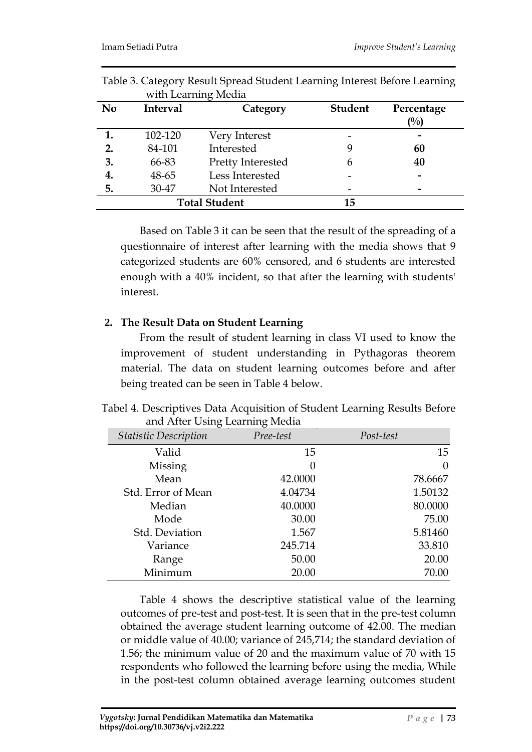|                |          | with Learning Media  |                |                   |
|----------------|----------|----------------------|----------------|-------------------|
| N <sub>0</sub> | Interval | Category             | <b>Student</b> | Percentage<br>(%) |
| 1.             | 102-120  | Very Interest        |                |                   |
| 2.             | 84-101   | Interested           |                | 60                |
| 3.             | 66-83    | Pretty Interested    | 6              | 40                |
| 4.             | 48-65    | Less Interested      |                |                   |
| 5.             | 30-47    | Not Interested       |                |                   |
|                |          | <b>Total Student</b> | 15             |                   |

Table 3. Category Result Spread Student Learning Interest Before Learning

Based on Table 3 it can be seen that the result of the spreading of a questionnaire of interest after learning with the media shows that 9 categorized students are 60% censored, and 6 students are interested enough with a 40% incident, so that after the learning with students' interest.

#### **2. The Result Data on Student Learning**

From the result of student learning in class VI used to know the improvement of student understanding in Pythagoras theorem material. The data on student learning outcomes before and after being treated can be seen in Table 4 below.

Tabel 4. Descriptives Data Acquisition of Student Learning Results Before and After Using Learning Media

| <b>Statistic Description</b> | Pree-test | Post-test |
|------------------------------|-----------|-----------|
| Valid                        | 15        | 15        |
| Missing                      | $\theta$  | $\theta$  |
| Mean                         | 42.0000   | 78.6667   |
| Std. Error of Mean           | 4.04734   | 1.50132   |
| Median                       | 40.0000   | 80.0000   |
| Mode                         | 30.00     | 75.00     |
| Std. Deviation               | 1.567     | 5.81460   |
| Variance                     | 245.714   | 33.810    |
| Range                        | 50.00     | 20.00     |
| Minimum                      | 20.00     | 70.00     |

Table 4 shows the descriptive statistical value of the learning outcomes of pre-test and post-test. It is seen that in the pre-test column obtained the average student learning outcome of 42.00. The median or middle value of 40.00; variance of 245,714; the standard deviation of 1.56; the minimum value of 20 and the maximum value of 70 with 15 respondents who followed the learning before using the media, While in the post-test column obtained average learning outcomes student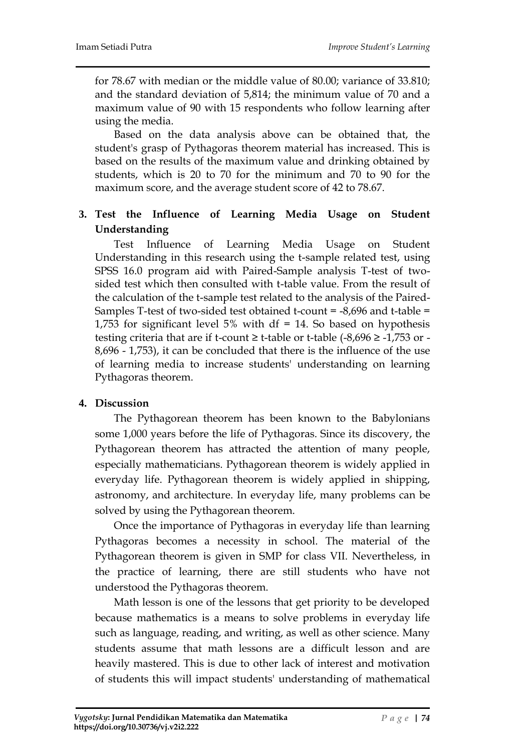for 78.67 with median or the middle value of 80.00; variance of 33.810; and the standard deviation of 5,814; the minimum value of 70 and a maximum value of 90 with 15 respondents who follow learning after using the media.

Based on the data analysis above can be obtained that, the student's grasp of Pythagoras theorem material has increased. This is based on the results of the maximum value and drinking obtained by students, which is 20 to 70 for the minimum and 70 to 90 for the maximum score, and the average student score of 42 to 78.67.

## **3. Test the Influence of Learning Media Usage on Student Understanding**

Test Influence of Learning Media Usage on Student Understanding in this research using the t-sample related test, using SPSS 16.0 program aid with Paired-Sample analysis T-test of twosided test which then consulted with t-table value. From the result of the calculation of the t-sample test related to the analysis of the Paired-Samples T-test of two-sided test obtained t-count = -8,696 and t-table = 1,753 for significant level 5% with df = 14. So based on hypothesis testing criteria that are if t-count  $\geq$  t-table or t-table (-8,696  $\geq$  -1,753 or -8,696 - 1,753), it can be concluded that there is the influence of the use of learning media to increase students' understanding on learning Pythagoras theorem.

## **4. Discussion**

The Pythagorean theorem has been known to the Babylonians some 1,000 years before the life of Pythagoras. Since its discovery, the Pythagorean theorem has attracted the attention of many people, especially mathematicians. Pythagorean theorem is widely applied in everyday life. Pythagorean theorem is widely applied in shipping, astronomy, and architecture. In everyday life, many problems can be solved by using the Pythagorean theorem.

Once the importance of Pythagoras in everyday life than learning Pythagoras becomes a necessity in school. The material of the Pythagorean theorem is given in SMP for class VII. Nevertheless, in the practice of learning, there are still students who have not understood the Pythagoras theorem.

Math lesson is one of the lessons that get priority to be developed because mathematics is a means to solve problems in everyday life such as language, reading, and writing, as well as other science. Many students assume that math lessons are a difficult lesson and are heavily mastered. This is due to other lack of interest and motivation of students this will impact students' understanding of mathematical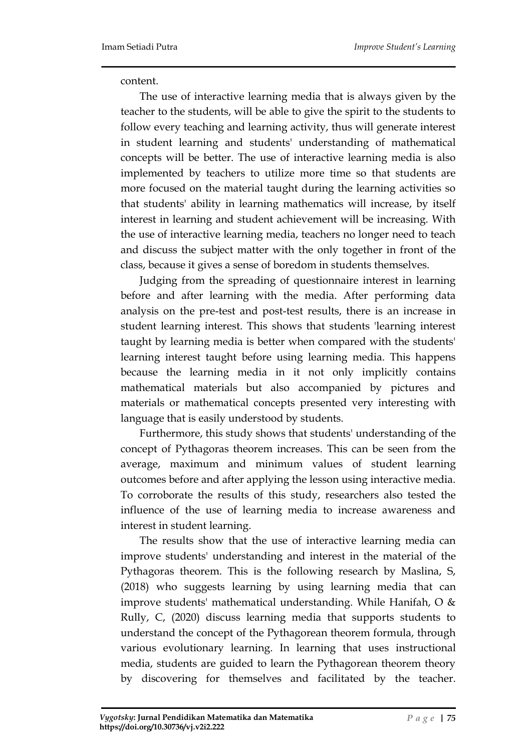content.

The use of interactive learning media that is always given by the teacher to the students, will be able to give the spirit to the students to follow every teaching and learning activity, thus will generate interest in student learning and students' understanding of mathematical concepts will be better. The use of interactive learning media is also implemented by teachers to utilize more time so that students are more focused on the material taught during the learning activities so that students' ability in learning mathematics will increase, by itself interest in learning and student achievement will be increasing. With the use of interactive learning media, teachers no longer need to teach and discuss the subject matter with the only together in front of the class, because it gives a sense of boredom in students themselves.

Judging from the spreading of questionnaire interest in learning before and after learning with the media. After performing data analysis on the pre-test and post-test results, there is an increase in student learning interest. This shows that students 'learning interest taught by learning media is better when compared with the students' learning interest taught before using learning media. This happens because the learning media in it not only implicitly contains mathematical materials but also accompanied by pictures and materials or mathematical concepts presented very interesting with language that is easily understood by students.

Furthermore, this study shows that students' understanding of the concept of Pythagoras theorem increases. This can be seen from the average, maximum and minimum values of student learning outcomes before and after applying the lesson using interactive media. To corroborate the results of this study, researchers also tested the influence of the use of learning media to increase awareness and interest in student learning.

The results show that the use of interactive learning media can improve students' understanding and interest in the material of the Pythagoras theorem. This is the following research by Maslina, S, (2018) who suggests learning by using learning media that can improve students' mathematical understanding. While Hanifah, O & Rully, C, (2020) discuss learning media that supports students to understand the concept of the Pythagorean theorem formula, through various evolutionary learning. In learning that uses instructional media, students are guided to learn the Pythagorean theorem theory by discovering for themselves and facilitated by the teacher.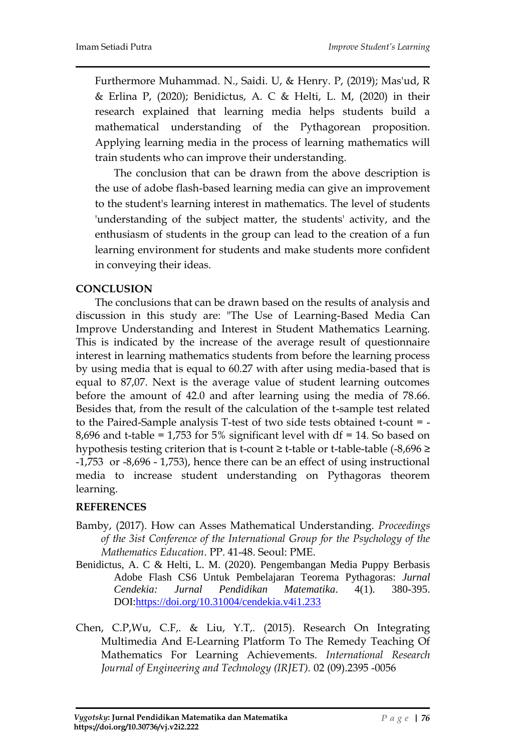Furthermore Muhammad. N., Saidi. U, & Henry. P, (2019); Mas'ud, R & Erlina P, (2020); Benidictus, A. C & Helti, L. M, (2020) in their research explained that learning media helps students build a mathematical understanding of the Pythagorean proposition. Applying learning media in the process of learning mathematics will train students who can improve their understanding.

The conclusion that can be drawn from the above description is the use of adobe flash-based learning media can give an improvement to the student's learning interest in mathematics. The level of students 'understanding of the subject matter, the students' activity, and the enthusiasm of students in the group can lead to the creation of a fun learning environment for students and make students more confident in conveying their ideas.

## **CONCLUSION**

The conclusions that can be drawn based on the results of analysis and discussion in this study are: "The Use of Learning-Based Media Can Improve Understanding and Interest in Student Mathematics Learning. This is indicated by the increase of the average result of questionnaire interest in learning mathematics students from before the learning process by using media that is equal to 60.27 with after using media-based that is equal to 87,07. Next is the average value of student learning outcomes before the amount of 42.0 and after learning using the media of 78.66. Besides that, from the result of the calculation of the t-sample test related to the Paired-Sample analysis T-test of two side tests obtained t-count = - 8,696 and t-table = 1,753 for 5% significant level with df = 14. So based on hypothesis testing criterion that is t-count  $\geq$  t-table or t-table-table (-8,696  $\geq$ -1,753 or -8,696 - 1,753), hence there can be an effect of using instructional media to increase student understanding on Pythagoras theorem learning.

## **REFERENCES**

- Bamby, (2017). How can Asses Mathematical Understanding. *Proceedings of the 3ist Conference of the International Group for the Psychology of the Mathematics Education*. PP. 41-48. Seoul: PME.
- Benidictus, A. C & Helti, L. M. (2020). Pengembangan Media Puppy Berbasis Adobe Flash CS6 Untuk Pembelajaran Teorema Pythagoras: *Jurnal Cendekia: Jurnal Pendidikan Matematika*. 4(1). 380-395. DOI[:https://doi.org/10.31004/cendekia.v4i1.233](https://doi.org/10.31004/cendekia.v4i1.233)
- Chen, C.P,Wu, C.F,. & Liu, Y.T,. (2015). Research On Integrating Multimedia And E-Learning Platform To The Remedy Teaching Of Mathematics For Learning Achievements. *International Research Journal of Engineering and Technology (IRJET).* 02 (09).2395 -0056